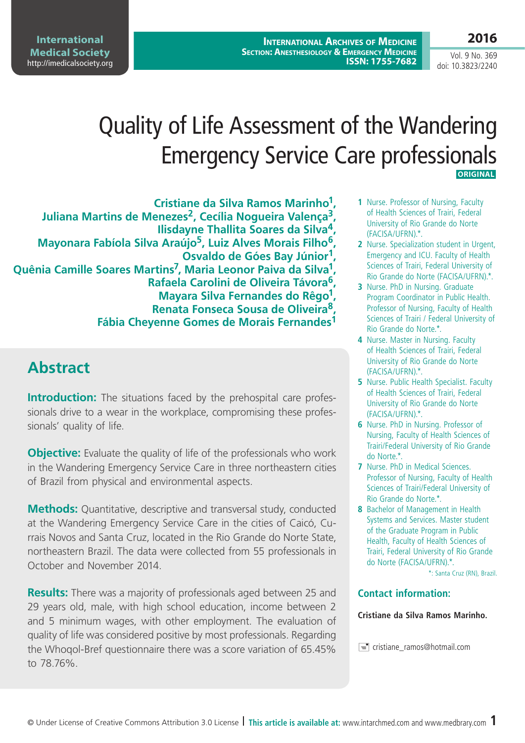**International Archives of Medicine SECTION: ANESTHESIOLOGY & EMERGENCY MEDICINE ISSN: 1755-7682**

Vol. 9 No. 369 doi: 10.3823/2240

**2016**

# Quality of Life Assessment of the Wandering Emergency Service Care professionals **ORIGINAL**

**Cristiane da Silva Ramos Marinho1, Juliana Martins de Menezes2, Cecília Nogueira Valença3, Ilisdayne Thallita Soares da Silva4, Mayonara Fabíola Silva Araújo5, Luiz Alves Morais Filho6, Osvaldo de Góes Bay Júnior1, Quênia Camille Soares Martins7, Maria Leonor Paiva da Silva1, Rafaela Carolini de Oliveira Távora6, Mayara Silva Fernandes do Rêgo1, Renata Fonseca Sousa de Oliveira8, Fábia Cheyenne Gomes de Morais Fernandes1**

# **Abstract**

**Introduction:** The situations faced by the prehospital care professionals drive to a wear in the workplace, compromising these professionals' quality of life.

**Objective:** Evaluate the quality of life of the professionals who work in the Wandering Emergency Service Care in three northeastern cities of Brazil from physical and environmental aspects.

**Methods:** Quantitative, descriptive and transversal study, conducted at the Wandering Emergency Service Care in the cities of Caicó, Currais Novos and Santa Cruz, located in the Rio Grande do Norte State, northeastern Brazil. The data were collected from 55 professionals in October and November 2014.

**Results:** There was a majority of professionals aged between 25 and 29 years old, male, with high school education, income between 2 and 5 minimum wages, with other employment. The evaluation of quality of life was considered positive by most professionals. Regarding the Whoqol-Bref questionnaire there was a score variation of 65.45% to 78.76%.

- **1** Nurse. Professor of Nursing, Faculty of Health Sciences of Trairi, Federal University of Rio Grande do Norte (FACISA/UFRN).\*.
- **2** Nurse. Specialization student in Urgent, Emergency and ICU. Faculty of Health Sciences of Trairi, Federal University of Rio Grande do Norte (FACISA/UFRN).\*.
- **3** Nurse. PhD in Nursing. Graduate Program Coordinator in Public Health. Professor of Nursing, Faculty of Health Sciences of Trairi / Federal University of Rio Grande do Norte.\*.
- **4** Nurse. Master in Nursing. Faculty of Health Sciences of Trairi, Federal University of Rio Grande do Norte (FACISA/UFRN).\*.
- **5** Nurse. Public Health Specialist. Faculty of Health Sciences of Trairi, Federal University of Rio Grande do Norte (FACISA/UFRN).\*.
- **6** Nurse. PhD in Nursing. Professor of Nursing, Faculty of Health Sciences of Trairi/Federal University of Rio Grande do Norte.\*.
- **7** Nurse. PhD in Medical Sciences. Professor of Nursing, Faculty of Health Sciences of Trairi/Federal University of Rio Grande do Norte.\*.
- **8** Bachelor of Management in Health Systems and Services. Master student of the Graduate Program in Public Health, Faculty of Health Sciences of Trairi, Federal University of Rio Grande do Norte (FACISA/UFRN).\*.

\*: Santa Cruz (RN), Brazil.

#### **Contact information:**

#### **Cristiane da Silva Ramos Marinho.**

cristiane\_ramos@hotmail.com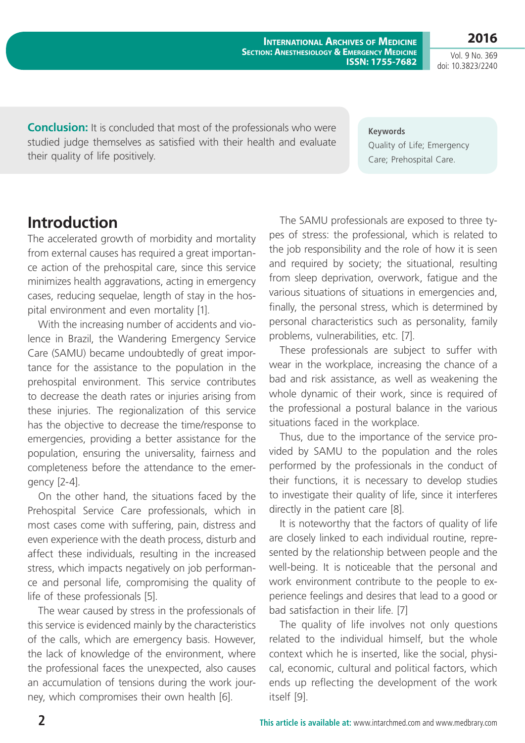**International Archives of Medicine SECTION: ANESTHESIOLOGY & EMERGENCY MEDICINE ISSN: 1755-7682**

Vol. 9 No. 369 doi: 10.3823/2240

**2016**

**Conclusion:** It is concluded that most of the professionals who were studied judge themselves as satisfied with their health and evaluate their quality of life positively.

**Keywords** Quality of Life; Emergency Care; Prehospital Care.

### **Introduction**

The accelerated growth of morbidity and mortality from external causes has required a great importance action of the prehospital care, since this service minimizes health aggravations, acting in emergency cases, reducing sequelae, length of stay in the hospital environment and even mortality [1].

With the increasing number of accidents and violence in Brazil, the Wandering Emergency Service Care (SAMU) became undoubtedly of great importance for the assistance to the population in the prehospital environment. This service contributes to decrease the death rates or injuries arising from these injuries. The regionalization of this service has the objective to decrease the time/response to emergencies, providing a better assistance for the population, ensuring the universality, fairness and completeness before the attendance to the emergency [2-4].

On the other hand, the situations faced by the Prehospital Service Care professionals, which in most cases come with suffering, pain, distress and even experience with the death process, disturb and affect these individuals, resulting in the increased stress, which impacts negatively on job performance and personal life, compromising the quality of life of these professionals [5].

The wear caused by stress in the professionals of this service is evidenced mainly by the characteristics of the calls, which are emergency basis. However, the lack of knowledge of the environment, where the professional faces the unexpected, also causes an accumulation of tensions during the work journey, which compromises their own health [6].

The SAMU professionals are exposed to three types of stress: the professional, which is related to the job responsibility and the role of how it is seen and required by society; the situational, resulting from sleep deprivation, overwork, fatigue and the various situations of situations in emergencies and, finally, the personal stress, which is determined by personal characteristics such as personality, family problems, vulnerabilities, etc. [7].

These professionals are subject to suffer with wear in the workplace, increasing the chance of a bad and risk assistance, as well as weakening the whole dynamic of their work, since is required of the professional a postural balance in the various situations faced in the workplace.

Thus, due to the importance of the service provided by SAMU to the population and the roles performed by the professionals in the conduct of their functions, it is necessary to develop studies to investigate their quality of life, since it interferes directly in the patient care [8].

It is noteworthy that the factors of quality of life are closely linked to each individual routine, represented by the relationship between people and the well-being. It is noticeable that the personal and work environment contribute to the people to experience feelings and desires that lead to a good or bad satisfaction in their life. [7]

The quality of life involves not only questions related to the individual himself, but the whole context which he is inserted, like the social, physical, economic, cultural and political factors, which ends up reflecting the development of the work itself [9].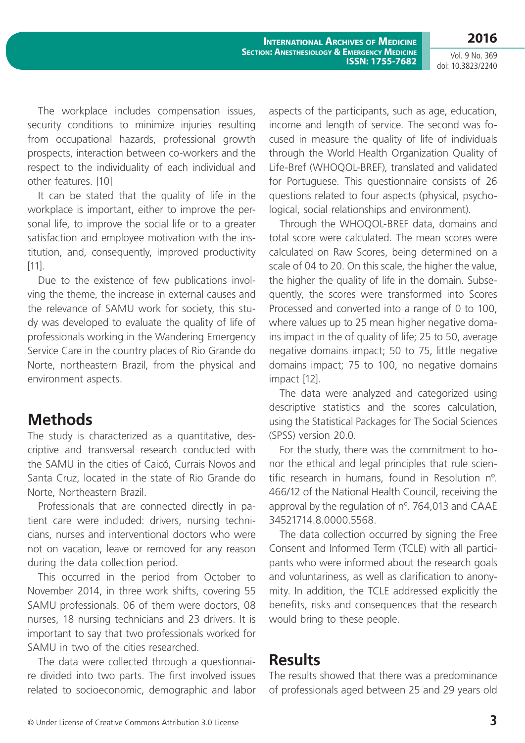Vol. 9 No. 369 doi: 10.3823/2240

**2016**

**International Archives of Medicine SECTION: ANESTHESIOLOGY & EMERGENCY MEDICINE ISSN: 1755-7682**

The workplace includes compensation issues, security conditions to minimize injuries resulting from occupational hazards, professional growth prospects, interaction between co-workers and the respect to the individuality of each individual and other features. [10]

It can be stated that the quality of life in the workplace is important, either to improve the personal life, to improve the social life or to a greater satisfaction and employee motivation with the institution, and, consequently, improved productivity [11].

Due to the existence of few publications involving the theme, the increase in external causes and the relevance of SAMU work for society, this study was developed to evaluate the quality of life of professionals working in the Wandering Emergency Service Care in the country places of Rio Grande do Norte, northeastern Brazil, from the physical and environment aspects.

### **Methods**

The study is characterized as a quantitative, descriptive and transversal research conducted with the SAMU in the cities of Caicó, Currais Novos and Santa Cruz, located in the state of Rio Grande do Norte, Northeastern Brazil.

Professionals that are connected directly in patient care were included: drivers, nursing technicians, nurses and interventional doctors who were not on vacation, leave or removed for any reason during the data collection period.

This occurred in the period from October to November 2014, in three work shifts, covering 55 SAMU professionals. 06 of them were doctors, 08 nurses, 18 nursing technicians and 23 drivers. It is important to say that two professionals worked for SAMU in two of the cities researched.

The data were collected through a questionnaire divided into two parts. The first involved issues related to socioeconomic, demographic and labor aspects of the participants, such as age, education, income and length of service. The second was focused in measure the quality of life of individuals through the World Health Organization Quality of Life-Bref (WHOQOL-BREF), translated and validated for Portuguese. This questionnaire consists of 26 questions related to four aspects (physical, psychological, social relationships and environment).

Through the WHOQOL-BREF data, domains and total score were calculated. The mean scores were calculated on Raw Scores, being determined on a scale of 04 to 20. On this scale, the higher the value, the higher the quality of life in the domain. Subsequently, the scores were transformed into Scores Processed and converted into a range of 0 to 100, where values up to 25 mean higher negative domains impact in the of quality of life; 25 to 50, average negative domains impact; 50 to 75, little negative domains impact; 75 to 100, no negative domains impact [12].

The data were analyzed and categorized using descriptive statistics and the scores calculation, using the Statistical Packages for The Social Sciences (SPSS) version 20.0.

For the study, there was the commitment to honor the ethical and legal principles that rule scientific research in humans, found in Resolution nº. 466/12 of the National Health Council, receiving the approval by the regulation of nº. 764,013 and CAAE 34521714.8.0000.5568.

The data collection occurred by signing the Free Consent and Informed Term (TCLE) with all participants who were informed about the research goals and voluntariness, as well as clarification to anonymity. In addition, the TCLE addressed explicitly the benefits, risks and consequences that the research would bring to these people.

### **Results**

The results showed that there was a predominance of professionals aged between 25 and 29 years old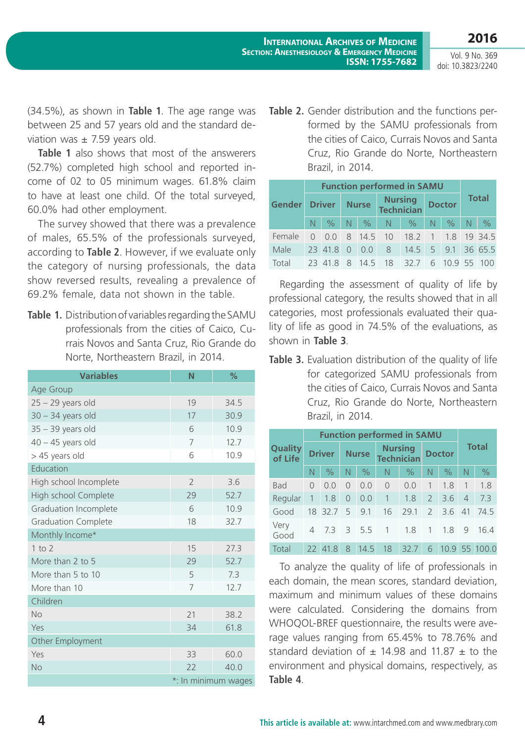**2016** Vol. 9 No. 369

doi: 10.3823/2240

(34.5%), as shown in **Table 1**. The age range was between 25 and 57 years old and the standard deviation was  $\pm$  7.59 years old.

**Table 1** also shows that most of the answerers (52.7%) completed high school and reported income of 02 to 05 minimum wages. 61.8% claim to have at least one child. Of the total surveyed, 60.0% had other employment.

The survey showed that there was a prevalence of males, 65.5% of the professionals surveyed, according to **Table 2**. However, if we evaluate only the category of nursing professionals, the data show reversed results, revealing a prevalence of show reversed results, revealing a prevalence of a Regarding the assessment of quality of life by<br>69.2% female, data not shown in the table.

**Table 1.** Distribution of variables regarding the SAMU professionals from the cities of Caico, Currais Novos and Santa Cruz, Rio Grande do Norte, Northeastern Brazil, in 2014.

| <b>Variables</b>             | N                   | %    |  |  |  |  |
|------------------------------|---------------------|------|--|--|--|--|
| Age Group                    |                     |      |  |  |  |  |
| $25 - 29$ years old          | 19                  | 34.5 |  |  |  |  |
| $30 - 34$ years old          | 17                  | 30.9 |  |  |  |  |
| $35 - 39$ years old          | 6                   | 10.9 |  |  |  |  |
| $40 - 45$ years old          | 7                   | 12.7 |  |  |  |  |
| > 45 years old               | 6                   | 10.9 |  |  |  |  |
| Education                    |                     |      |  |  |  |  |
| High school Incomplete       | $\overline{2}$      | 3.6  |  |  |  |  |
| High school Complete         | 29                  | 52.7 |  |  |  |  |
| <b>Graduation Incomplete</b> | 6                   | 10.9 |  |  |  |  |
| <b>Graduation Complete</b>   | 18                  | 32.7 |  |  |  |  |
| Monthly Income*              |                     |      |  |  |  |  |
| $1$ to $2$                   | 15                  | 27.3 |  |  |  |  |
| More than 2 to 5             | 29                  | 52.7 |  |  |  |  |
| More than 5 to 10            | 5                   | 7.3  |  |  |  |  |
| More than 10                 | 7                   | 12.7 |  |  |  |  |
| Children                     |                     |      |  |  |  |  |
| <b>No</b>                    | 21                  | 38.2 |  |  |  |  |
| Yes                          | 34                  | 61.8 |  |  |  |  |
| Other Employment             |                     |      |  |  |  |  |
| Yes                          | 33                  | 60.0 |  |  |  |  |
| <b>No</b>                    | 22                  | 40.0 |  |  |  |  |
|                              | *: In minimum wages |      |  |  |  |  |

**Table 2.** Gender distribution and the functions performed by the SAMU professionals from the cities of Caico, Currais Novos and Santa Cruz, Rio Grande do Norte, Northeastern Brazil, in 2014.

|                                           | <b>Function performed in SAMU</b> |  |  |  |                                    |                                      |  |  |              |  |  |
|-------------------------------------------|-----------------------------------|--|--|--|------------------------------------|--------------------------------------|--|--|--------------|--|--|
|                                           |                                   |  |  |  | Gender Driver Nurse Nursing Doctor |                                      |  |  | <b>Total</b> |  |  |
|                                           |                                   |  |  |  |                                    | N % N % N % N % N % N %              |  |  |              |  |  |
| Female 0 0.0 8 14.5 10 18.2 1 1.8 19 34.5 |                                   |  |  |  |                                    |                                      |  |  |              |  |  |
| Male                                      |                                   |  |  |  |                                    | 23 41.8 0 0.0 8 14.5 5 9.1 36 65.5   |  |  |              |  |  |
| Total                                     |                                   |  |  |  |                                    | 23 41.8 8 14.5 18 32.7 6 10.9 55 100 |  |  |              |  |  |

professional category, the results showed that in all categories, most professionals evaluated their quality of life as good in 74.5% of the evaluations, as shown in **Table 3**.

**Table 3.** Evaluation distribution of the quality of life for categorized SAMU professionals from the cities of Caico, Currais Novos and Santa Cruz, Rio Grande do Norte, Northeastern Brazil, in 2014.

|                           | <b>Function performed in SAMU</b> |               |                |               |                                     |               |                |                        |                |          |
|---------------------------|-----------------------------------|---------------|----------------|---------------|-------------------------------------|---------------|----------------|------------------------|----------------|----------|
| <b>Quality</b><br>of Life | <b>Driver</b>                     |               | <b>Nurse</b>   |               | <b>Nursing</b><br><b>Technician</b> |               | <b>Doctor</b>  |                        | <b>Total</b>   |          |
|                           | N                                 | $\%$          | $\mathbb N$    | $\frac{0}{0}$ | $\mathbb N$                         | $\frac{0}{0}$ | N              | $\frac{0}{0}$          | N              | $\%$     |
| <b>Bad</b>                | $\Omega$                          | 0.0           | $\overline{0}$ | 0.0           | $\overline{0}$                      | 0.0           | $\overline{1}$ | 1.8                    | 1              | 1.8      |
| Regular                   | $\overline{1}$                    | 1.8           | $\overline{0}$ | 0.0           | $\bigoplus$                         | 1.8           |                | $2 \quad 3.6$          | $\overline{4}$ | 7.3      |
| Good                      |                                   | 18 32.7 5 9.1 |                |               | 16                                  | 29.1          |                | $2 \quad 3.6 \quad 41$ |                | 74.5     |
| Very<br>Good              |                                   | 73            |                |               | $3\quad 5.5 \quad 1 \quad 1.8$      |               |                | 1.8                    | - 9            | 16.4     |
| Total                     |                                   | 22 41.8       | 8              | 14.5          | 18                                  | 32.7          | 6              | 10.9                   |                | 55 100.0 |

To analyze the quality of life of professionals in each domain, the mean scores, standard deviation, maximum and minimum values of these domains were calculated. Considering the domains from WHOQOL-BREF questionnaire, the results were average values ranging from 65.45% to 78.76% and standard deviation of  $\pm$  14.98 and 11.87  $\pm$  to the environment and physical domains, respectively, as **Table 4**.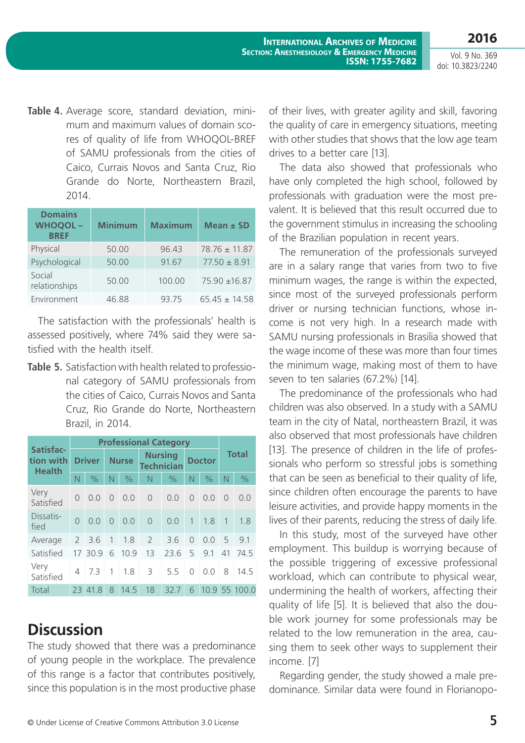**2016**

Vol. 9 No. 369 doi: 10.3823/2240

**Table 4.** Average score, standard deviation, minimum and maximum values of domain scores of quality of life from WHOQOL-BREF of SAMU professionals from the cities of Caico, Currais Novos and Santa Cruz, Rio Grande do Norte, Northeastern Brazil, 2014.

| <b>Domains</b><br><b>WHOQOL-</b><br><b>BREF</b> | <b>Minimum</b> | <b>Maximum</b> | Mean $\pm$ SD     |
|-------------------------------------------------|----------------|----------------|-------------------|
| Physical                                        | 50.00          | 96.43          | $78.76 \pm 11.87$ |
| Psychological                                   | 50.00          | 91.67          | $77.50 \pm 8.91$  |
| Social<br>relationships                         | 50.00          | 100.00         | 75.90 ±16.87      |
| Environment                                     | 46.88          | 93.75          | $65.45 \pm 14.58$ |

The satisfaction with the professionals' health is assessed positively, where 74% said they were satisfied with the health itself.

**Table 5.** Satisfaction with health related to professional category of SAMU professionals from the cities of Caico, Currais Novos and Santa Cruz, Rio Grande do Norte, Northeastern Brazil, in 2014.

|                                         | <b>Professional Category</b> |               |              |               |                                     |               |                |               |                |               |  |
|-----------------------------------------|------------------------------|---------------|--------------|---------------|-------------------------------------|---------------|----------------|---------------|----------------|---------------|--|
| Satisfac-<br>tion with<br><b>Health</b> | <b>Driver</b>                |               | <b>Nurse</b> |               | <b>Nursing</b><br><b>Technician</b> |               | <b>Doctor</b>  |               | <b>Total</b>   |               |  |
|                                         | N                            | $\frac{0}{0}$ | N            | $\frac{0}{0}$ | N                                   | $\frac{0}{0}$ | $\mathbb N$    | $\frac{0}{0}$ | N              | $\%$          |  |
| Very<br>Satisfied                       | $\Omega$                     | 0.0           | $\Omega$     | 0.0           | $\overline{0}$                      | 0.0           | $\bigcap$      | 0.0           | $\bigcap$      | 0.0           |  |
| Dissatis-<br>fied                       | $\Omega$                     | 0.0           | $\bigcap$    | 0.0           | $\overline{0}$                      | 0.0           | $\overline{1}$ | 1.8           | $\overline{1}$ | 1.8           |  |
| Average                                 | $\overline{2}$               | 3.6           | $\mathbf{1}$ | 1.8           | $\overline{2}$                      | 3.6           | $\bigcap$      | 0.0           | 5              | 9.1           |  |
| Satisfied                               | 17                           | 30.9          | 6            | 10.9          | 13                                  | 23.6          | 5              | 9.1           | 41             | 74.5          |  |
| Very<br>Satisfied                       | 4                            | 73            | 1            | 1.8           | 3                                   | 5.5           | $\Omega$       | 0.0           | 8              | 14.5          |  |
| Total                                   |                              | 23 41.8       | 8            | 14.5          | 18                                  | 32.7          | 6              |               |                | 10.9 55 100.0 |  |

## **Discussion**

The study showed that there was a predominance of young people in the workplace. The prevalence of this range is a factor that contributes positively, since this population is in the most productive phase of their lives, with greater agility and skill, favoring the quality of care in emergency situations, meeting with other studies that shows that the low age team drives to a better care [13].

The data also showed that professionals who have only completed the high school, followed by professionals with graduation were the most prevalent. It is believed that this result occurred due to the government stimulus in increasing the schooling of the Brazilian population in recent years.

The remuneration of the professionals surveyed are in a salary range that varies from two to five minimum wages, the range is within the expected, since most of the surveyed professionals perform driver or nursing technician functions, whose income is not very high. In a research made with SAMU nursing professionals in Brasilia showed that the wage income of these was more than four times the minimum wage, making most of them to have seven to ten salaries (67.2%) [14].

The predominance of the professionals who had children was also observed. In a study with a SAMU team in the city of Natal, northeastern Brazil, it was also observed that most professionals have children [13]. The presence of children in the life of professionals who perform so stressful jobs is something that can be seen as beneficial to their quality of life, since children often encourage the parents to have leisure activities, and provide happy moments in the lives of their parents, reducing the stress of daily life.

In this study, most of the surveyed have other employment. This buildup is worrying because of the possible triggering of excessive professional workload, which can contribute to physical wear, undermining the health of workers, affecting their quality of life [5]. It is believed that also the double work journey for some professionals may be related to the low remuneration in the area, causing them to seek other ways to supplement their income. [7]

Regarding gender, the study showed a male predominance. Similar data were found in Florianopo-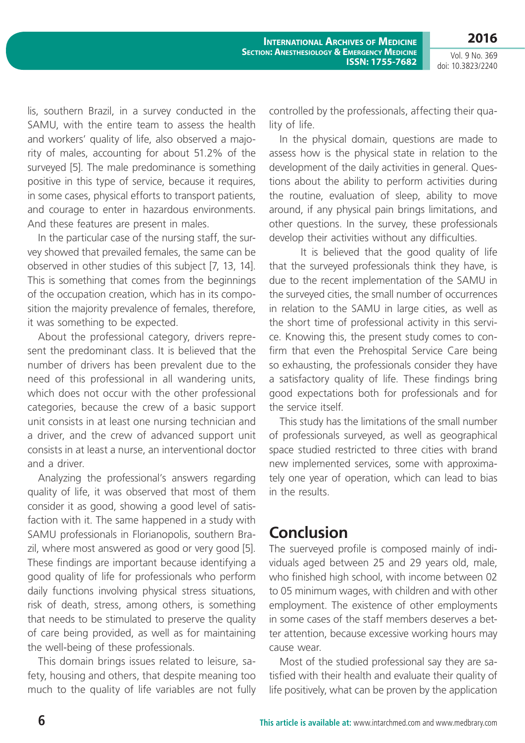**2016** Vol. 9 No. 369

doi: 10.3823/2240

lis, southern Brazil, in a survey conducted in the SAMU, with the entire team to assess the health and workers' quality of life, also observed a majority of males, accounting for about 51.2% of the surveyed [5]. The male predominance is something positive in this type of service, because it requires, in some cases, physical efforts to transport patients, and courage to enter in hazardous environments. And these features are present in males.

In the particular case of the nursing staff, the survey showed that prevailed females, the same can be observed in other studies of this subject [7, 13, 14]. This is something that comes from the beginnings of the occupation creation, which has in its composition the majority prevalence of females, therefore, it was something to be expected.

About the professional category, drivers represent the predominant class. It is believed that the number of drivers has been prevalent due to the need of this professional in all wandering units, which does not occur with the other professional categories, because the crew of a basic support unit consists in at least one nursing technician and a driver, and the crew of advanced support unit consists in at least a nurse, an interventional doctor and a driver.

Analyzing the professional's answers regarding quality of life, it was observed that most of them consider it as good, showing a good level of satisfaction with it. The same happened in a study with SAMU professionals in Florianopolis, southern Brazil, where most answered as good or very good [5]. These findings are important because identifying a good quality of life for professionals who perform daily functions involving physical stress situations, risk of death, stress, among others, is something that needs to be stimulated to preserve the quality of care being provided, as well as for maintaining the well-being of these professionals.

This domain brings issues related to leisure, safety, housing and others, that despite meaning too much to the quality of life variables are not fully controlled by the professionals, affecting their quality of life.

In the physical domain, questions are made to assess how is the physical state in relation to the development of the daily activities in general. Questions about the ability to perform activities during the routine, evaluation of sleep, ability to move around, if any physical pain brings limitations, and other questions. In the survey, these professionals develop their activities without any difficulties.

It is believed that the good quality of life that the surveyed professionals think they have, is due to the recent implementation of the SAMU in the surveyed cities, the small number of occurrences in relation to the SAMU in large cities, as well as the short time of professional activity in this service. Knowing this, the present study comes to confirm that even the Prehospital Service Care being so exhausting, the professionals consider they have a satisfactory quality of life. These findings bring good expectations both for professionals and for the service itself.

This study has the limitations of the small number of professionals surveyed, as well as geographical space studied restricted to three cities with brand new implemented services, some with approximately one year of operation, which can lead to bias in the results.

### **Conclusion**

The suerveyed profile is composed mainly of individuals aged between 25 and 29 years old, male, who finished high school, with income between 02 to 05 minimum wages, with children and with other employment. The existence of other employments in some cases of the staff members deserves a better attention, because excessive working hours may cause wear.

Most of the studied professional say they are satisfied with their health and evaluate their quality of life positively, what can be proven by the application